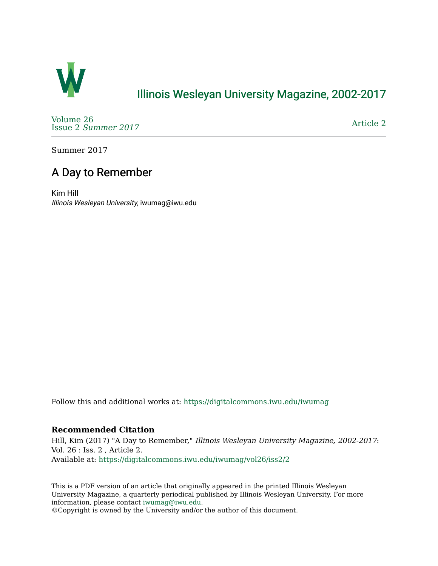

## [Illinois Wesleyan University Magazine, 2002-2017](https://digitalcommons.iwu.edu/iwumag)

[Volume 26](https://digitalcommons.iwu.edu/iwumag/vol26)  Issue 2 [Summer 2017](https://digitalcommons.iwu.edu/iwumag/vol26/iss2) 

[Article 2](https://digitalcommons.iwu.edu/iwumag/vol26/iss2/2) 

Summer 2017

## A Day to Remember

Kim Hill Illinois Wesleyan University, iwumag@iwu.edu

Follow this and additional works at: [https://digitalcommons.iwu.edu/iwumag](https://digitalcommons.iwu.edu/iwumag?utm_source=digitalcommons.iwu.edu%2Fiwumag%2Fvol26%2Fiss2%2F2&utm_medium=PDF&utm_campaign=PDFCoverPages) 

## **Recommended Citation**

Hill, Kim (2017) "A Day to Remember," Illinois Wesleyan University Magazine, 2002-2017: Vol. 26 : Iss. 2 , Article 2. Available at: [https://digitalcommons.iwu.edu/iwumag/vol26/iss2/2](https://digitalcommons.iwu.edu/iwumag/vol26/iss2/2?utm_source=digitalcommons.iwu.edu%2Fiwumag%2Fvol26%2Fiss2%2F2&utm_medium=PDF&utm_campaign=PDFCoverPages)

This is a PDF version of an article that originally appeared in the printed Illinois Wesleyan University Magazine, a quarterly periodical published by Illinois Wesleyan University. For more information, please contact [iwumag@iwu.edu](mailto:iwumag@iwu.edu).

©Copyright is owned by the University and/or the author of this document.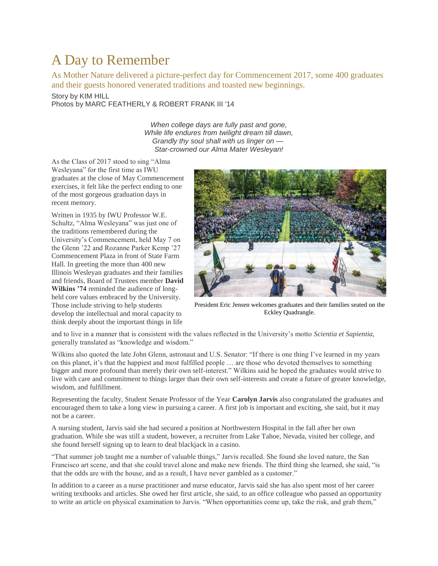## A Day to Remember

As Mother Nature delivered a picture-perfect day for Commencement 2017, some 400 graduates and their guests honored venerated traditions and toasted new beginnings.

Story by KIM HILL Photos by MARC FEATHERLY & ROBERT FRANK III '14

> *When college days are fully past and gone, While life endures from twilight dream till dawn, Grandly thy soul shall with us linger on — Star-crowned our Alma Mater Wesleyan!*

As the Class of 2017 stood to sing "Alma Wesleyana" for the first time as IWU graduates at the close of May Commencement exercises, it felt like the perfect ending to one of the most gorgeous graduation days in recent memory.

Written in 1935 by IWU Professor W.E. Schultz, "Alma Wesleyana" was just one of the traditions remembered during the University's Commencement, held May 7 on the Glenn '22 and Rozanne Parker Kemp '27 Commencement Plaza in front of State Farm Hall. In greeting the more than 400 new Illinois Wesleyan graduates and their families and friends, Board of Trustees member **David Wilkins '74** reminded the audience of longheld core values embraced by the University. Those include striving to help students develop the intellectual and moral capacity to think deeply about the important things in life



President Eric Jensen welcomes graduates and their families seated on the Eckley Quadrangle.

and to live in a manner that is consistent with the values reflected in the University's motto *Scientia et Sapientia*, generally translated as "knowledge and wisdom."

Wilkins also quoted the late John Glenn, astronaut and U.S. Senator: "If there is one thing I've learned in my years on this planet, it's that the happiest and most fulfilled people … are those who devoted themselves to something bigger and more profound than merely their own self-interest." Wilkins said he hoped the graduates would strive to live with care and commitment to things larger than their own self-interests and create a future of greater knowledge, wisdom, and fulfillment.

Representing the faculty, Student Senate Professor of the Year **Carolyn Jarvis** also congratulated the graduates and encouraged them to take a long view in pursuing a career. A first job is important and exciting, she said, but it may not be a career.

A nursing student, Jarvis said she had secured a position at Northwestern Hospital in the fall after her own graduation. While she was still a student, however, a recruiter from Lake Tahoe, Nevada, visited her college, and she found herself signing up to learn to deal blackjack in a casino.

"That summer job taught me a number of valuable things," Jarvis recalled. She found she loved nature, the San Francisco art scene, and that she could travel alone and make new friends. The third thing she learned, she said, "is that the odds are with the house, and as a result, I have never gambled as a customer."

In addition to a career as a nurse practitioner and nurse educator, Jarvis said she has also spent most of her career writing textbooks and articles. She owed her first article, she said, to an office colleague who passed an opportunity to write an article on physical examination to Jarvis. "When opportunities come up, take the risk, and grab them,"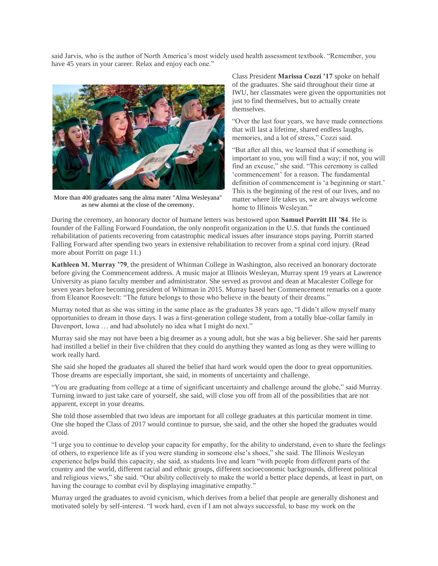said Jarvis, who is the author of North America's most widely used health assessment textbook. "Remember, you have 45 years in your career. Relax and enjoy each one."



More than 400 graduates sang the alma mater "Alma Wesleyana" as new alumni at the close of the ceremony.

Class President **Marissa Cozzi '17** spoke on behalf of the graduates. She said throughout their time at IWU, her classmates were given the opportunities not just to find themselves, but to actually create themselves.

"Over the last four years, we have made connections that will last a lifetime, shared endless laughs, memories, and a lot of stress," Cozzi said.

"But after all this, we learned that if something is important to you, you will find a way; if not, you will find an excuse," she said. "This ceremony is called 'commencement' for a reason. The fundamental definition of commencement is 'a beginning or start.' This is the beginning of the rest of our lives, and no matter where life takes us, we are always welcome home to Illinois Wesleyan."

During the ceremony, an honorary doctor of humane letters was bestowed upon **Samuel Porritt III '84**. He is founder of the Falling Forward Foundation, the only nonprofit organization in the U.S. that funds the continued rehabilitation of patients recovering from catastrophic medical issues after insurance stops paying. Porritt started Falling Forward after spending two years in extensive rehabilitation to recover from a spinal cord injury. (Read more about Porritt on page 11.)

**Kathleen M. Murray '79**, the president of Whitman College in Washington, also received an honorary doctorate before giving the Commencement address. A music major at Illinois Wesleyan, Murray spent 19 years at Lawrence University as piano faculty member and administrator. She served as provost and dean at Macalester College for seven years before becoming president of Whitman in 2015. Murray based her Commencement remarks on a quote from Eleanor Roosevelt: "The future belongs to those who believe in the beauty of their dreams."

Murray noted that as she was sitting in the same place as the graduates 38 years ago, "I didn't allow myself many opportunities to dream in those days. I was a first-generation college student, from a totally blue-collar family in Davenport, Iowa ... and had absolutely no idea what I might do next."

Murray said she may not have been a big dreamer as a young adult, but she was a big believer. She said her parents had instilled a belief in their five children that they could do anything they wanted as long as they were willing to work really hard.

She said she hoped the graduates all shared the belief that hard work would open the door to great opportunities. Those dreams are especially important, she said, in moments of uncertainty and challenge.

"You are graduating from college at a time of significant uncertainty and challenge around the globe," said Murray. Turning inward to just take care of yourself, she said, will close you off from all of the possibilities that are not apparent, except in your dreams.

She told those assembled that two ideas are important for all college graduates at this particular moment in time. One she hoped the Class of 2017 would continue to pursue, she said, and the other she hoped the graduates would avoid.

"I urge you to continue to develop your capacity for empathy, for the ability to understand, even to share the feelings of others, to experience life as if you were standing in someone else's shoes," she said. The Illinois Wesleyan experience helps build this capacity, she said, as students live and learn "with people from different parts of the country and the world, different racial and ethnic groups, different socioeconomic backgrounds, different political and religious views," she said. "Our ability collectively to make the world a better place depends, at least in part, on having the courage to combat evil by displaying imaginative empathy."

Murray urged the graduates to avoid cynicism, which derives from a belief that people are generally dishonest and motivated solely by self-interest. "I work hard, even if I am not always successful, to base my work on the